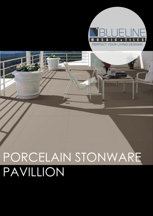# PORCELAIN STONWARE PAVILLION



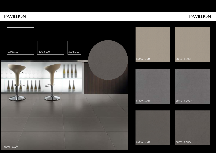### PAVILLION PAVILLION







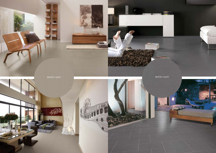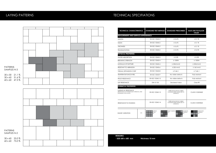| <b>TECHNICAL CHARACTERISTICS</b>                                                                    | <b>STANDARD TEST METHOD</b> | <b>STANDARD PRESCRIBED</b>                                                 | <b>BLUE LINE PAVILLION</b><br><b>VALUE</b> |
|-----------------------------------------------------------------------------------------------------|-----------------------------|----------------------------------------------------------------------------|--------------------------------------------|
| <b>MEASUREMENT AND SURFACE APPEARANCE</b>                                                           |                             |                                                                            |                                            |
| <b>LENGTH</b>                                                                                       | EN ISO 10545-2              | ± 0.6 %                                                                    | ± 0.1%                                     |
| <b>WIDTH</b>                                                                                        | EN ISO 10545-2              | ± 0.6 %                                                                    | $± 0.1 \%$                                 |
| <b>THICKNESS</b>                                                                                    | EN ISO 10545-2              | ± 0.6 %                                                                    | ± 0.1%                                     |
| <b>TRANSMUTATION</b>                                                                                | EN ISO 10545-2              | ± 0.5%                                                                     | ± 0.2 %                                    |
| <b>PHYSICAL PROPERTIES</b>                                                                          |                             |                                                                            |                                            |
| <b>WATER ABSORPTION</b>                                                                             | EN ISO 10545-3              | $\leq 0.5\%$                                                               | $\leq 0.5\%$                               |
| <b>BREAKING STRENGTH</b>                                                                            | EN ISO 10545-4              | $\geq$ 1300N                                                               | $\geq$ 1300N                               |
| <b>MODULUS OF RUPTURE</b>                                                                           | EN ISO 10545-4              | $\geq$ 35N/mm2                                                             | $\geq$ 35N/mm2                             |
| RESISTANT TO ABRASION                                                                               | EN ISO 10545-6              | $\leq$ 205 mm3                                                             | $\geq$ 160 mm3                             |
| <b>THEMAL EXPANSION COEF</b>                                                                        | EN ISO 10545-8              | $\leq$ 9 MK-1                                                              | $\leq$ 7 MK-1                              |
| TEMPERATUR SHOCK RES.                                                                               | EN ISO 10545-9              | No visible defects                                                         | Fully resistant                            |
| <b>FROST RESISTANCE</b>                                                                             | EN ISO 10545-12             | No visible defects                                                         | Fully resistant                            |
| <b>SLIP RESISTANCE</b>                                                                              | <b>DIN 51130</b>            | <b>Declared Value</b>                                                      | Class R9                                   |
| <b>GHEMICAL PROPERTIES</b>                                                                          |                             |                                                                            |                                            |
| <b>GHEMICAL RESISTANCE</b><br>(RESISTANCE TO HOUSEHOULD CHEMICAL AND<br><b>SWIMMING POOL SALTS)</b> | EN ISO 10545-13             | THERE SHOULD BE NO VISIBLE<br>CHANGES WHEN SUBJECTED TO<br><b>CHEMICAL</b> | <b>CLASS 5 DURABLE</b>                     |
| RESISTANCE TO STAINING                                                                              | EN ISO 10545-14             | THERE SHOULD BE NO VISIBLE<br>CHANGES WHEN SUBJECTED TO<br><b>CHEMICAL</b> | <b>CLASS 5 DURABLE</b>                     |
| V1<br><b>SHADE VARIATION</b>                                                                        | Uniform<br>Color<br>V1      | Slight Variation<br>Moderate<br>V <sub>2</sub><br>Variation<br>V3          | Substantial<br>Variation<br>V <sub>4</sub> |

| <b>REMARKS</b>        |                 |
|-----------------------|-----------------|
| $-$ SIZE 600 x 600 mm | thickness 10 mm |
|                       |                 |



### LAYING PATTERNS TECHNICAL SPECIFIATIONS